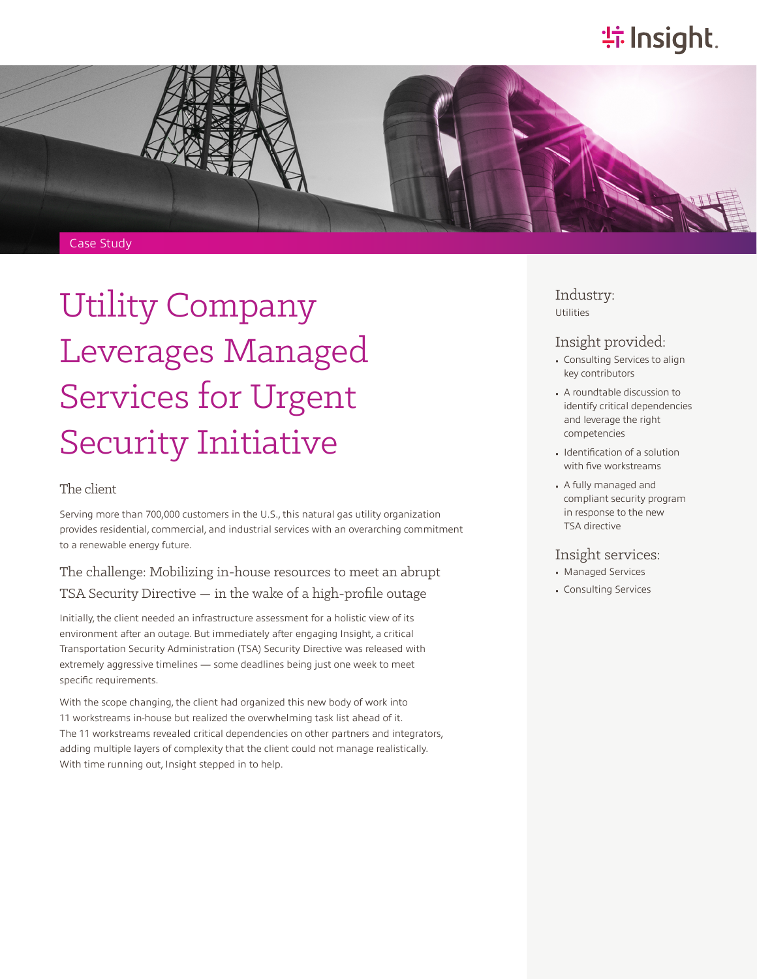# **特Insight**.



# Utility Company Leverages Managed Services for Urgent Security Initiative

#### The client

Serving more than 700,000 customers in the U.S., this natural gas utility organization provides residential, commercial, and industrial services with an overarching commitment to a renewable energy future.

### The challenge: Mobilizing in-house resources to meet an abrupt TSA Security Directive — in the wake of a high-profile outage

Initially, the client needed an infrastructure assessment for a holistic view of its environment after an outage. But immediately after engaging Insight, a critical Transportation Security Administration (TSA) Security Directive was released with extremely aggressive timelines — some deadlines being just one week to meet specific requirements.

With the scope changing, the client had organized this new body of work into 11 workstreams in-house but realized the overwhelming task list ahead of it. The 11 workstreams revealed critical dependencies on other partners and integrators, adding multiple layers of complexity that the client could not manage realistically. With time running out, Insight stepped in to help.

#### Industry: Utilities

#### Insight provided:

- Consulting Services to align key contributors
- A roundtable discussion to identify critical dependencies and leverage the right competencies
- Identification of a solution with five workstreams
- A fully managed and compliant security program in response to the new TSA directive

#### Insight services:

- Managed Services
- Consulting Services